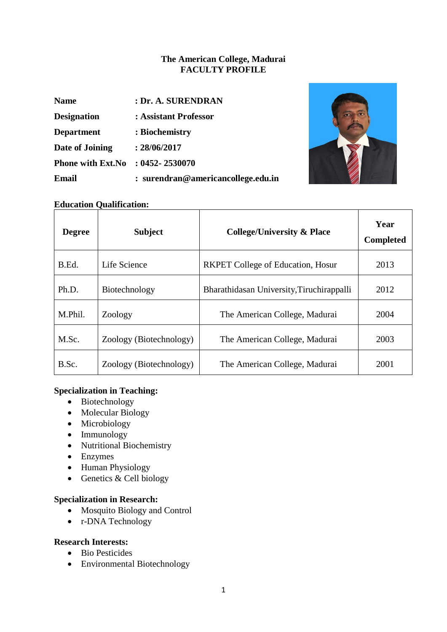### **The American College, Madurai FACULTY PROFILE**

| <b>Name</b>              | : Dr. A. SURENDRAN                 |
|--------------------------|------------------------------------|
| <b>Designation</b>       | : Assistant Professor              |
| <b>Department</b>        | : Biochemistry                     |
| Date of Joining          | : 28/06/2017                       |
| <b>Phone with Ext.No</b> | $: 0452 - 2530070$                 |
| Email                    | : surendran@americancollege.edu.in |



### **Education Qualification:**

| <b>Degree</b> | <b>Subject</b>          | <b>College/University &amp; Place</b>     | Year<br><b>Completed</b> |
|---------------|-------------------------|-------------------------------------------|--------------------------|
| B.Ed.         | Life Science            | <b>RKPET</b> College of Education, Hosur  | 2013                     |
| Ph.D.         | Biotechnology           | Bharathidasan University, Tiruchirappalli | 2012                     |
| M.Phil.       | Zoology                 | The American College, Madurai             | 2004                     |
| M.Sc.         | Zoology (Biotechnology) | The American College, Madurai             |                          |
| B.Sc.         | Zoology (Biotechnology) | The American College, Madurai             | 2001                     |

### **Specialization in Teaching:**

- Biotechnology
- Molecular Biology
- Microbiology
- $\bullet$  Immunology
- Nutritional Biochemistry
- Enzymes
- Human Physiology
- Genetics & Cell biology

### **Specialization in Research:**

- Mosquito Biology and Control
- r-DNA Technology

### **Research Interests:**

- Bio Pesticides
- Environmental Biotechnology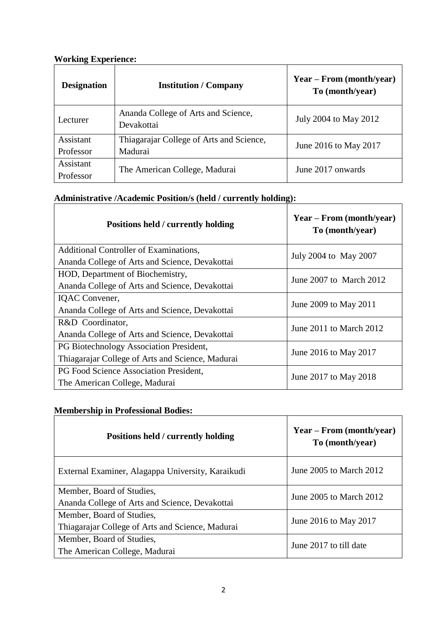### **Working Experience:**

| <b>Designation</b>     | <b>Institution</b> / Company                        | Year – From (month/year)<br>To (month/year) |
|------------------------|-----------------------------------------------------|---------------------------------------------|
| Lecturer               | Ananda College of Arts and Science,<br>Devakottai   | July 2004 to May 2012                       |
| Assistant<br>Professor | Thiagarajar College of Arts and Science,<br>Madurai | June 2016 to May 2017                       |
| Assistant<br>Professor | The American College, Madurai                       | June 2017 onwards                           |

# **Administrative /Academic Position/s (held / currently holding):**

| Positions held / currently holding               | $Year - From (month/year)$<br>To (month/year) |  |
|--------------------------------------------------|-----------------------------------------------|--|
| Additional Controller of Examinations,           | July 2004 to May 2007                         |  |
| Ananda College of Arts and Science, Devakottai   |                                               |  |
| HOD, Department of Biochemistry,                 | June $2007$ to March $2012$                   |  |
| Ananda College of Arts and Science, Devakottai   |                                               |  |
| IQAC Convener,                                   | June 2009 to May 2011                         |  |
| Ananda College of Arts and Science, Devakottai   |                                               |  |
| R&D Coordinator,                                 | June 2011 to March 2012                       |  |
| Ananda College of Arts and Science, Devakottai   |                                               |  |
| PG Biotechnology Association President,          | June 2016 to May 2017                         |  |
| Thiagarajar College of Arts and Science, Madurai |                                               |  |
| PG Food Science Association President,           |                                               |  |
| The American College, Madurai                    | June 2017 to May 2018                         |  |

## **Membership in Professional Bodies:**

| Positions held / currently holding                                            | $Year - From (month/year)$<br>To (month/year) |
|-------------------------------------------------------------------------------|-----------------------------------------------|
| External Examiner, Alagappa University, Karaikudi                             | June 2005 to March 2012                       |
| Member, Board of Studies,<br>Ananda College of Arts and Science, Devakottai   | June 2005 to March 2012                       |
| Member, Board of Studies,<br>Thiagarajar College of Arts and Science, Madurai | June 2016 to May 2017                         |
| Member, Board of Studies,<br>The American College, Madurai                    | June 2017 to till date                        |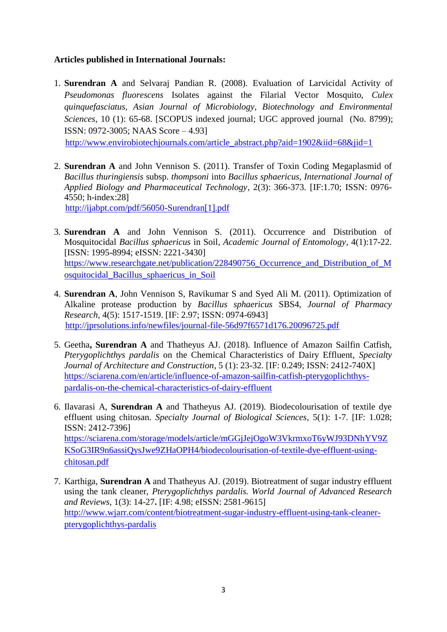### **Articles published in International Journals:**

1. **Surendran A** and Selvaraj Pandian R. (2008). Evaluation of Larvicidal Activity of *Pseudomonas fluorescens* Isolates against the Filarial Vector Mosquito, *Culex quinquefasciatus, Asian Journal of Microbiology, Biotechnology and Environmental Sciences*, 10 (1): 65-68. [SCOPUS indexed journal; UGC approved journal (No. 8799); ISSN: 0972-3005; NAAS Score – 4.93]

[http://www.envirobiotechjournals.com/article\\_abstract.php?aid=1902&iid=68&jid=1](http://www.envirobiotechjournals.com/article_abstract.php?aid=1902&iid=68&jid=1)

2. **Surendran A** and John Vennison S. (2011). Transfer of Toxin Coding Megaplasmid of *Bacillus thuringiensis* subsp. *thompsoni* into *Bacillus sphaericus, International Journal of Applied Biology and Pharmaceutical Technology*, 2(3): 366-373. [IF:1.70; ISSN: 0976- 4550; h-index:28]

[http://ijabpt.com/pdf/56050-Surendran\[1\].pdf](http://ijabpt.com/pdf/56050-Surendran%5b1%5d.pdf)

- 3. **Surendran A** and John Vennison S. (2011). Occurrence and Distribution of Mosquitocidal *Bacillus sphaericus* in Soil*, Academic Journal of Entomology*, 4(1):17-22. [ISSN: 1995-8994; eISSN: 2221-3430] [https://www.researchgate.net/publication/228490756\\_Occurrence\\_and\\_Distribution\\_of\\_M](https://www.researchgate.net/publication/228490756_Occurrence_and_Distribution_of_Mosquitocidal_Bacillus_sphaericus_in_Soil) [osquitocidal\\_Bacillus\\_sphaericus\\_in\\_Soil](https://www.researchgate.net/publication/228490756_Occurrence_and_Distribution_of_Mosquitocidal_Bacillus_sphaericus_in_Soil)
- 4. **Surendran A**, John Vennison S, Ravikumar S and Syed Ali M. (2011). Optimization of Alkaline protease production by *Bacillus sphaericus* SBS4*, Journal of Pharmacy Research,* 4(5): 1517-1519. [IF: 2.97; ISSN: 0974-6943] <http://jprsolutions.info/newfiles/journal-file-56d97f6571d176.20096725.pdf>
- 5. Geetha**, Surendran A** and Thatheyus AJ. (2018). Influence of Amazon Sailfin Catfish, *Pterygoplichthys pardalis* on the Chemical Characteristics of Dairy Effluent, *Specialty Journal of Architecture and Construction*, 5 (1): 23-32. [IF: 0.249; ISSN: 2412-740X] [https://sciarena.com/en/article/influence-of-amazon-sailfin-catfish-pterygoplichthys](https://sciarena.com/en/article/influence-of-amazon-sailfin-catfish-pterygoplichthys-pardalis-on-the-chemical-characteristics-of-dairy-effluent)[pardalis-on-the-chemical-characteristics-of-dairy-effluent](https://sciarena.com/en/article/influence-of-amazon-sailfin-catfish-pterygoplichthys-pardalis-on-the-chemical-characteristics-of-dairy-effluent)
- 6. Ilavarasi A, **Surendran A** and Thatheyus AJ. (2019). Biodecolourisation of textile dye effluent using chitosan. *Specialty Journal of Biological Sciences*, 5(1): 1-7. [IF: 1.028; ISSN: 2412-7396] [https://sciarena.com/storage/models/article/mGGjJejOgoW3VkrmxoT6yWJ93DNhYV9Z](https://sciarena.com/storage/models/article/mGGjJejOgoW3VkrmxoT6yWJ93DNhYV9ZKSoG3IR9n6assiQysJwe9ZHaOPH4/biodecolourisation-of-textile-dye-effluent-using-chitosan.pdf) [KSoG3IR9n6assiQysJwe9ZHaOPH4/biodecolourisation-of-textile-dye-effluent-using](https://sciarena.com/storage/models/article/mGGjJejOgoW3VkrmxoT6yWJ93DNhYV9ZKSoG3IR9n6assiQysJwe9ZHaOPH4/biodecolourisation-of-textile-dye-effluent-using-chitosan.pdf)[chitosan.pdf](https://sciarena.com/storage/models/article/mGGjJejOgoW3VkrmxoT6yWJ93DNhYV9ZKSoG3IR9n6assiQysJwe9ZHaOPH4/biodecolourisation-of-textile-dye-effluent-using-chitosan.pdf)
- 7. Karthiga, **Surendran A** and Thatheyus AJ. (2019). Biotreatment of sugar industry effluent using the tank cleaner, *Pterygoplichthys pardalis. World Journal of Advanced Research and Reviews*, 1(3): 14-27**.** [IF: 4.98; eISSN: 2581-9615] [http://www.wjarr.com/content/biotreatment-sugar-industry-effluent-using-tank-cleaner](http://www.wjarr.com/content/biotreatment-sugar-industry-effluent-using-tank-cleaner-pterygoplichthys-pardalis)[pterygoplichthys-pardalis](http://www.wjarr.com/content/biotreatment-sugar-industry-effluent-using-tank-cleaner-pterygoplichthys-pardalis)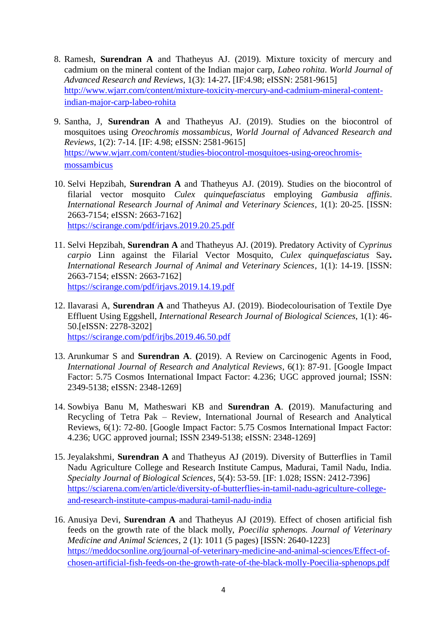- 8. Ramesh, **Surendran A** and Thatheyus AJ. (2019). Mixture toxicity of mercury and cadmium on the mineral content of the Indian major carp, *Labeo rohita*. *World Journal of Advanced Research and Reviews*, 1(3): 14-27**.** [IF:4.98; eISSN: 2581-9615] [http://www.wjarr.com/content/mixture-toxicity-mercury-and-cadmium-mineral-content](http://www.wjarr.com/content/mixture-toxicity-mercury-and-cadmium-mineral-content-indian-major-carp-labeo-rohita)[indian-major-carp-labeo-rohita](http://www.wjarr.com/content/mixture-toxicity-mercury-and-cadmium-mineral-content-indian-major-carp-labeo-rohita)
- 9. Santha, J, **Surendran A** and Thatheyus AJ. (2019). Studies on the biocontrol of mosquitoes using *Oreochromis mossambicus*, *World Journal of Advanced Research and Reviews*, 1(2): 7-14. [IF: 4.98; eISSN: 2581-9615] [https://www.wjarr.com/content/studies-biocontrol-mosquitoes-using-oreochromis](https://www.wjarr.com/content/studies-biocontrol-mosquitoes-using-oreochromis-mossambicus)[mossambicus](https://www.wjarr.com/content/studies-biocontrol-mosquitoes-using-oreochromis-mossambicus)
- 10. Selvi Hepzibah, **Surendran A** and Thatheyus AJ. (2019). Studies on the biocontrol of filarial vector mosquito *Culex quinquefasciatus* employing *Gambusia affinis*. *International Research Journal of Animal and Veterinary Sciences*, 1(1): 20-25. [ISSN: 2663-7154; eISSN: 2663-7162] <https://scirange.com/pdf/irjavs.2019.20.25.pdf>
- 11. Selvi Hepzibah, **Surendran A** and Thatheyus AJ. (2019). Predatory Activity of *Cyprinus carpio* Linn against the Filarial Vector Mosquito, *Culex quinquefasciatus* Say**.** *International Research Journal of Animal and Veterinary Sciences*, 1(1): 14-19. [ISSN: 2663-7154; eISSN: 2663-7162] <https://scirange.com/pdf/irjavs.2019.14.19.pdf>
- 12. Ilavarasi A, **Surendran A** and Thatheyus AJ. (2019). Biodecolourisation of Textile Dye Effluent Using Eggshell, *International Research Journal of Biological Sciences*, 1(1): 46- 50.[eISSN: 2278-3202] <https://scirange.com/pdf/irjbs.2019.46.50.pdf>
- 13. Arunkumar S and **Surendran A**. **(**2019). A Review on Carcinogenic Agents in Food, *International Journal of Research and Analytical Reviews*, 6(1): 87-91. [Google Impact Factor: 5.75 Cosmos International Impact Factor: 4.236; UGC approved journal; ISSN: 2349-5138; eISSN: 2348-1269]
- 14. Sowbiya Banu M, Matheswari KB and **Surendran A**. **(**2019). Manufacturing and Recycling of Tetra Pak – Review, International Journal of Research and Analytical Reviews, 6(1): 72-80. [Google Impact Factor: 5.75 Cosmos International Impact Factor: 4.236; UGC approved journal; ISSN 2349-5138; eISSN: 2348-1269]
- 15. Jeyalakshmi, **Surendran A** and Thatheyus AJ (2019). Diversity of Butterflies in Tamil Nadu Agriculture College and Research Institute Campus, Madurai, Tamil Nadu, India. *Specialty Journal of Biological Sciences*, 5(4): 53-59. [IF: 1.028; ISSN: 2412-7396] [https://sciarena.com/en/article/diversity-of-butterflies-in-tamil-nadu-agriculture-college](https://sciarena.com/en/article/diversity-of-butterflies-in-tamil-nadu-agriculture-college-and-research-institute-campus-madurai-tamil-nadu-india)[and-research-institute-campus-madurai-tamil-nadu-india](https://sciarena.com/en/article/diversity-of-butterflies-in-tamil-nadu-agriculture-college-and-research-institute-campus-madurai-tamil-nadu-india)
- 16. Anusiya Devi, **Surendran A** and Thatheyus AJ (2019). Effect of chosen artificial fish feeds on the growth rate of the black molly, *Poecilia sphenops. Journal of Veterinary Medicine and Animal Sciences*, 2 (1): 1011 (5 pages) [ISSN: 2640-1223] [https://meddocsonline.org/journal-of-veterinary-medicine-and-animal-sciences/Effect-of](https://meddocsonline.org/journal-of-veterinary-medicine-and-animal-sciences/Effect-of-%20%20%20%20chosen-artificial-fish-feeds-on-the-growth-rate-of-the-black-molly-Poecilia-sphenops.pdf)[chosen-artificial-fish-feeds-on-the-growth-rate-of-the-black-molly-Poecilia-sphenops.pdf](https://meddocsonline.org/journal-of-veterinary-medicine-and-animal-sciences/Effect-of-%20%20%20%20chosen-artificial-fish-feeds-on-the-growth-rate-of-the-black-molly-Poecilia-sphenops.pdf)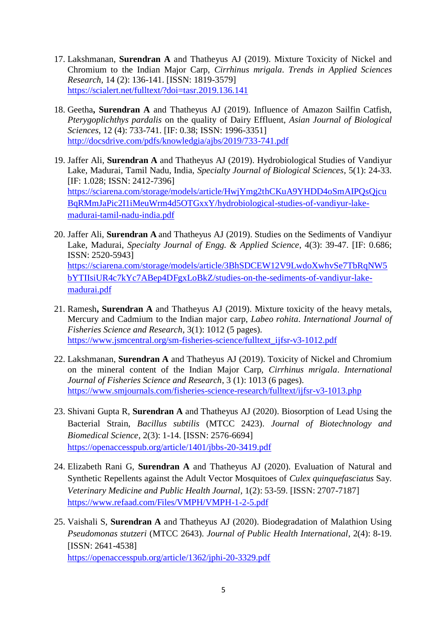- 17. Lakshmanan, **Surendran A** and Thatheyus AJ (2019). Mixture Toxicity of Nickel and Chromium to the Indian Major Carp, *Cirrhinus mrigala*. *Trends in Applied Sciences Research*, 14 (2): 136-141. [ISSN: 1819-3579] <https://scialert.net/fulltext/?doi=tasr.2019.136.141>
- 18. Geetha**, Surendran A** and Thatheyus AJ (2019). Influence of Amazon Sailfin Catfish, *Pterygoplichthys pardalis* on the quality of Dairy Effluent, *Asian Journal of Biological Sciences*, 12 (4): 733-741. [IF: 0.38; ISSN: 1996-3351] <http://docsdrive.com/pdfs/knowledgia/ajbs/2019/733-741.pdf>
- 19. Jaffer Ali, **Surendran A** and Thatheyus AJ (2019). Hydrobiological Studies of Vandiyur Lake, Madurai, Tamil Nadu, India, *Specialty Journal of Biological Sciences*, 5(1): 24-33. [IF: 1.028; ISSN: 2412-7396] [https://sciarena.com/storage/models/article/HwjYmg2thCKuA9YHDD4oSmAIPQsQjcu](https://sciarena.com/storage/models/article/HwjYmg2thCKuA9YHDD4oSmAIPQsQjcuBqRMmJaPic2I1iMeuWrm4d5OTGxxY/hydrobiological-studies-of-vandiyur-lake-madurai-tamil-nadu-india.pdf) [BqRMmJaPic2I1iMeuWrm4d5OTGxxY/hydrobiological-studies-of-vandiyur-lake](https://sciarena.com/storage/models/article/HwjYmg2thCKuA9YHDD4oSmAIPQsQjcuBqRMmJaPic2I1iMeuWrm4d5OTGxxY/hydrobiological-studies-of-vandiyur-lake-madurai-tamil-nadu-india.pdf)[madurai-tamil-nadu-india.pdf](https://sciarena.com/storage/models/article/HwjYmg2thCKuA9YHDD4oSmAIPQsQjcuBqRMmJaPic2I1iMeuWrm4d5OTGxxY/hydrobiological-studies-of-vandiyur-lake-madurai-tamil-nadu-india.pdf)
- 20. Jaffer Ali, **Surendran A** and Thatheyus AJ (2019). Studies on the Sediments of Vandiyur Lake, Madurai, *Specialty Journal of Engg. & Applied Science*, 4(3): 39-47. [IF: 0.686; ISSN: 2520-5943] [https://sciarena.com/storage/models/article/3BhSDCEW12V9LwdoXwhvSe7TbRqNW5](https://sciarena.com/storage/models/article/3BhSDCEW12V9LwdoXwhvSe7TbRqNW5bYTIIsiUR4c7kYc7ABep4DFgxLoBkZ/studies-on-the-sediments-of-vandiyur-lake-madurai.pdf) [bYTIIsiUR4c7kYc7ABep4DFgxLoBkZ/studies-on-the-sediments-of-vandiyur-lake](https://sciarena.com/storage/models/article/3BhSDCEW12V9LwdoXwhvSe7TbRqNW5bYTIIsiUR4c7kYc7ABep4DFgxLoBkZ/studies-on-the-sediments-of-vandiyur-lake-madurai.pdf)[madurai.pdf](https://sciarena.com/storage/models/article/3BhSDCEW12V9LwdoXwhvSe7TbRqNW5bYTIIsiUR4c7kYc7ABep4DFgxLoBkZ/studies-on-the-sediments-of-vandiyur-lake-madurai.pdf)
- 21. Ramesh**, Surendran A** and Thatheyus AJ (2019). Mixture toxicity of the heavy metals, Mercury and Cadmium to the Indian major carp, *Labeo rohita*. *International Journal of Fisheries Science and Research*, 3(1): 1012 (5 pages). [https://www.jsmcentral.org/sm-fisheries-science/fulltext\\_ijfsr-v3-1012.pdf](https://www.jsmcentral.org/sm-fisheries-science/fulltext_ijfsr-v3-1012.pdf)
- 22. Lakshmanan, **Surendran A** and Thatheyus AJ (2019). Toxicity of Nickel and Chromium on the mineral content of the Indian Major Carp, *Cirrhinus mrigala*. *International Journal of Fisheries Science and Research*, 3 (1): 1013 (6 pages). <https://www.smjournals.com/fisheries-science-research/fulltext/ijfsr-v3-1013.php>
- 23. Shivani Gupta R, **Surendran A** and Thatheyus AJ (2020). Biosorption of Lead Using the Bacterial Strain, *Bacillus subtilis* (MTCC 2423). *Journal of Biotechnology and Biomedical Science*, 2(3): 1-14. [ISSN: 2576-6694] <https://openaccesspub.org/article/1401/jbbs-20-3419.pdf>
- 24. Elizabeth Rani G, **Surendran A** and Thatheyus AJ (2020). Evaluation of Natural and Synthetic Repellents against the Adult Vector Mosquitoes of *Culex quinquefasciatus* Say. *Veterinary Medicine and Public Health Journal*, 1(2): 53-59. [ISSN: 2707-7187] <https://www.refaad.com/Files/VMPH/VMPH-1-2-5.pdf>
- 25. Vaishali S, **Surendran A** and Thatheyus AJ (2020). Biodegradation of Malathion Using *Pseudomonas stutzeri* (MTCC 2643). *Journal of Public Health International*, 2(4): 8-19. [ISSN: 2641-4538] <https://openaccesspub.org/article/1362/jphi-20-3329.pdf>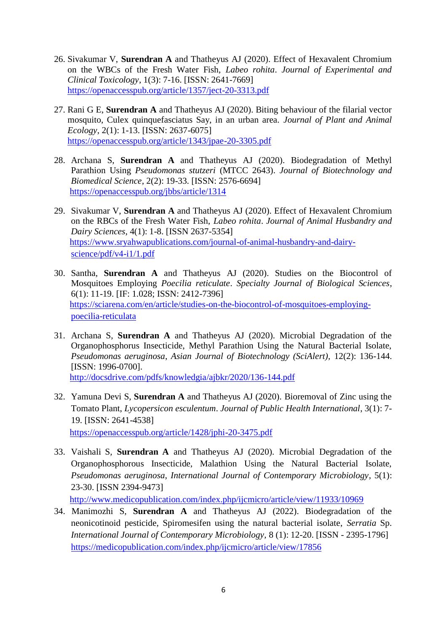- 26. Sivakumar V, **Surendran A** and Thatheyus AJ (2020). Effect of Hexavalent Chromium on the WBCs of the Fresh Water Fish, *Labeo rohita*. *Journal of Experimental and Clinical Toxicology*, 1(3): 7-16. [ISSN: 2641-7669] <https://openaccesspub.org/article/1357/ject-20-3313.pdf>
- 27. Rani G E, **Surendran A** and Thatheyus AJ (2020). Biting behaviour of the filarial vector mosquito, Culex quinquefasciatus Say, in an urban area. *Journal of Plant and Animal Ecology*, 2(1): 1-13. [ISSN: 2637-6075] <https://openaccesspub.org/article/1343/jpae-20-3305.pdf>
- 28. Archana S, **Surendran A** and Thatheyus AJ (2020). Biodegradation of Methyl Parathion Using *Pseudomonas stutzeri* (MTCC 2643). *Journal of Biotechnology and Biomedical Science*, 2(2): 19-33. [ISSN: 2576-6694] <https://openaccesspub.org/jbbs/article/1314>
- 29. Sivakumar V, **Surendran A** and Thatheyus AJ (2020). Effect of Hexavalent Chromium on the RBCs of the Fresh Water Fish, *Labeo rohita*. *Journal of Animal Husbandry and Dairy Sciences*, 4(1): 1-8. [ISSN 2637-5354] [https://www.sryahwapublications.com/journal-of-animal-husbandry-and-dairy](https://www.sryahwapublications.com/journal-of-animal-husbandry-and-dairy-%20%20science/pdf/v4-i1/1.pdf)[science/pdf/v4-i1/1.pdf](https://www.sryahwapublications.com/journal-of-animal-husbandry-and-dairy-%20%20science/pdf/v4-i1/1.pdf)
- 30. Santha, **Surendran A** and Thatheyus AJ (2020). Studies on the Biocontrol of Mosquitoes Employing *Poecilia reticulate*. *Specialty Journal of Biological Sciences*, 6(1): 11-19. [IF: 1.028; ISSN: 2412-7396] [https://sciarena.com/en/article/studies-on-the-biocontrol-of-mosquitoes-employing](https://sciarena.com/en/article/studies-on-the-biocontrol-of-mosquitoes-employing-poecilia-reticulata)[poecilia-reticulata](https://sciarena.com/en/article/studies-on-the-biocontrol-of-mosquitoes-employing-poecilia-reticulata)
- 31. Archana S, **Surendran A** and Thatheyus AJ (2020). Microbial Degradation of the Organophosphorus Insecticide, Methyl Parathion Using the Natural Bacterial Isolate, *Pseudomonas aeruginosa*, *Asian Journal of Biotechnology (SciAlert),* 12(2): 136-144. [ISSN: 1996-0700]. <http://docsdrive.com/pdfs/knowledgia/ajbkr/2020/136-144.pdf>
- 32. Yamuna Devi S, **Surendran A** and Thatheyus AJ (2020). Bioremoval of Zinc using the Tomato Plant, *Lycopersicon esculentum*. *Journal of Public Health International*, 3(1): 7- 19. [ISSN: 2641-4538] <https://openaccesspub.org/article/1428/jphi-20-3475.pdf>

33. Vaishali S, **Surendran A** and Thatheyus AJ (2020). Microbial Degradation of the Organophosphorous Insecticide, Malathion Using the Natural Bacterial Isolate, *Pseudomonas aeruginosa*, *International Journal of Contemporary Microbiology*, 5(1): 23-30. [ISSN 2394-9473]

<http://www.medicopublication.com/index.php/ijcmicro/article/view/11933/10969>

34. Manimozhi S, **Surendran A** and Thatheyus AJ (2022). Biodegradation of the neonicotinoid pesticide, Spiromesifen using the natural bacterial isolate, *Serratia* Sp. *International Journal of Contemporary Microbiology,* 8 (1): 12-20. [ISSN - 2395-1796] <https://medicopublication.com/index.php/ijcmicro/article/view/17856>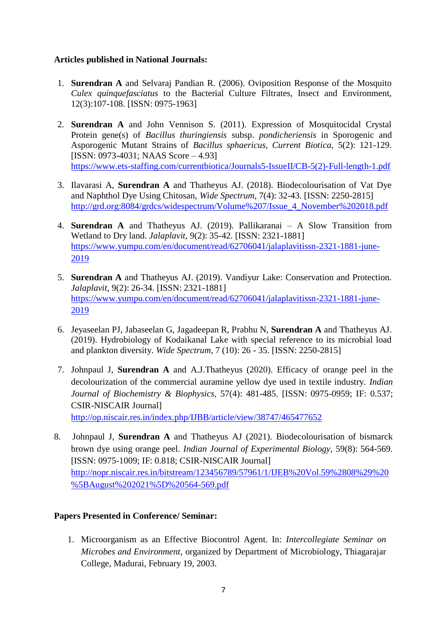### **Articles published in National Journals:**

- 1. **Surendran A** and Selvaraj Pandian R. (2006). Oviposition Response of the Mosquito *Culex quinquefasciatus* to the Bacterial Culture Filtrates, Insect and Environment, 12(3):107-108. [ISSN: 0975-1963]
- 2. **Surendran A** and John Vennison S. (2011). Expression of Mosquitocidal Crystal Protein gene(s) of *Bacillus thuringiensis* subsp. *pondicheriensis* in Sporogenic and Asporogenic Mutant Strains of *Bacillus sphaericus, Current Biotica*, 5(2): 121-129. [ISSN: 0973-4031; NAAS Score – 4.93] [https://www.ets-staffing.com/currentbiotica/Journals5-IssueII/CB-5\(2\)-Full-length-1.pdf](https://www.ets-staffing.com/currentbiotica/Journals5-IssueII/CB-5(2)-Full-length-1.pdf)
- 3. Ilavarasi A, **Surendran A** and Thatheyus AJ. (2018). Biodecolourisation of Vat Dye and Naphthol Dye Using Chitosan, *Wide Spectrum*, 7(4): 32-43. [ISSN: 2250-2815] [http://grd.org:8084/grdcs/widespectrum/Volume%207/Issue\\_4\\_November%202018.pdf](http://grd.org:8084/grdcs/widespectrum/Volume%207/Issue_4_November%202018.pdf)
- 4. **Surendran A** and Thatheyus AJ. (2019). Pallikaranai A Slow Transition from Wetland to Dry land. *Jalaplavit*, 9(2): 35-42. [ISSN: 2321-1881] [https://www.yumpu.com/en/document/read/62706041/jalaplavitissn-2321-1881-june-](https://www.yumpu.com/en/document/read/62706041/jalaplavitissn-2321-1881-june-2019)[2019](https://www.yumpu.com/en/document/read/62706041/jalaplavitissn-2321-1881-june-2019)
- 5. **Surendran A** and Thatheyus AJ. (2019). Vandiyur Lake: Conservation and Protection. *Jalaplavit*, 9(2): 26-34. [ISSN: 2321-1881] [https://www.yumpu.com/en/document/read/62706041/jalaplavitissn-2321-1881-june-](https://www.yumpu.com/en/document/read/62706041/jalaplavitissn-2321-1881-june-2019)[2019](https://www.yumpu.com/en/document/read/62706041/jalaplavitissn-2321-1881-june-2019)
- 6. Jeyaseelan PJ, Jabaseelan G, Jagadeepan R, Prabhu N, **Surendran A** and Thatheyus AJ. (2019). Hydrobiology of Kodaikanal Lake with special reference to its microbial load and plankton diversity. *Wide Spectrum*, 7 (10): 26 - 35. [ISSN: 2250-2815]
- 7. Johnpaul J, **Surendran A** and A.J.Thatheyus (2020). Efficacy of orange peel in the decolourization of the commercial auramine yellow dye used in textile industry. *Indian Journal of Biochemistry & Biophysics,* 57(4): 481-485. [ISSN: 0975-0959; IF: 0.537; CSIR-NISCAIR Journal]

<http://op.niscair.res.in/index.php/IJBB/article/view/38747/465477652>

8. Johnpaul J, **Surendran A** and Thatheyus AJ (2021). Biodecolourisation of bismarck brown dye using orange peel. *Indian Journal of Experimental Biology,* 59(8): 564-569. [ISSN: 0975-1009; IF: 0.818; CSIR-NISCAIR Journal] [http://nopr.niscair.res.in/bitstream/123456789/57961/1/IJEB%20Vol.59%2808%29%20](http://nopr.niscair.res.in/bitstream/123456789/57961/1/IJEB%20Vol.59%2808%29%20%5BAugust%202021%5D%20564-569.pdf) [%5BAugust%202021%5D%20564-569.pdf](http://nopr.niscair.res.in/bitstream/123456789/57961/1/IJEB%20Vol.59%2808%29%20%5BAugust%202021%5D%20564-569.pdf)

### **Papers Presented in Conference/ Seminar:**

1. Microorganism as an Effective Biocontrol Agent. In: *Intercollegiate Seminar on Microbes and Environment*, organized by Department of Microbiology, Thiagarajar College, Madurai, February 19, 2003.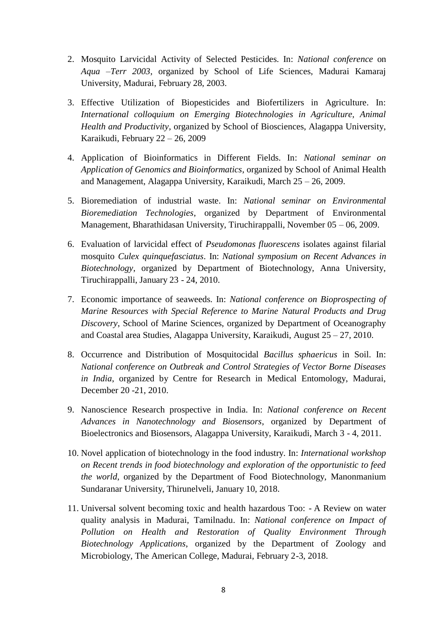- 2. Mosquito Larvicidal Activity of Selected Pesticides. In: *National conference* on *Aqua –Terr 2003*, organized by School of Life Sciences, Madurai Kamaraj University, Madurai, February 28, 2003.
- 3. Effective Utilization of Biopesticides and Biofertilizers in Agriculture. In: *International colloquium on Emerging Biotechnologies in Agriculture, Animal Health and Productivity*, organized by School of Biosciences, Alagappa University, Karaikudi, February 22 – 26, 2009
- 4. Application of Bioinformatics in Different Fields. In: *National seminar on Application of Genomics and Bioinformatics*, organized by School of Animal Health and Management, Alagappa University, Karaikudi, March 25 – 26, 2009.
- 5. Bioremediation of industrial waste. In: *National seminar on Environmental Bioremediation Technologies*, organized by Department of Environmental Management, Bharathidasan University, Tiruchirappalli, November 05 – 06, 2009.
- 6. Evaluation of larvicidal effect of *Pseudomonas fluorescens* isolates against filarial mosquito *Culex quinquefasciatus*. In: *National symposium on Recent Advances in Biotechnology*, organized by Department of Biotechnology, Anna University, Tiruchirappalli, January 23 - 24, 2010.
- 7. Economic importance of seaweeds. In: *National conference on Bioprospecting of Marine Resources with Special Reference to Marine Natural Products and Drug Discovery*, School of Marine Sciences, organized by Department of Oceanography and Coastal area Studies, Alagappa University, Karaikudi, August 25 – 27, 2010.
- 8. Occurrence and Distribution of Mosquitocidal *Bacillus sphaericus* in Soil. In: *National conference on Outbreak and Control Strategies of Vector Borne Diseases in India*, organized by Centre for Research in Medical Entomology, Madurai, December 20 -21, 2010.
- 9. Nanoscience Research prospective in India. In: *National conference on Recent Advances in Nanotechnology and Biosensors*, organized by Department of Bioelectronics and Biosensors, Alagappa University, Karaikudi, March 3 - 4, 2011.
- 10. Novel application of biotechnology in the food industry. In: *International workshop on Recent trends in food biotechnology and exploration of the opportunistic to feed the world*, organized by the Department of Food Biotechnology, Manonmanium Sundaranar University, Thirunelveli, January 10, 2018.
- 11. Universal solvent becoming toxic and health hazardous Too: A Review on water quality analysis in Madurai, Tamilnadu. In: *National conference on Impact of Pollution on Health and Restoration of Quality Environment Through Biotechnology Applications*, organized by the Department of Zoology and Microbiology, The American College, Madurai, February 2-3, 2018.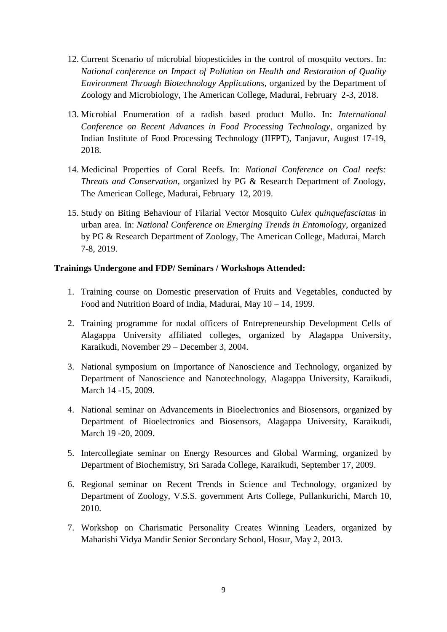- 12. Current Scenario of microbial biopesticides in the control of mosquito vectors. In: *National conference on Impact of Pollution on Health and Restoration of Quality Environment Through Biotechnology Applications*, organized by the Department of Zoology and Microbiology, The American College, Madurai, February 2-3, 2018.
- 13. Microbial Enumeration of a radish based product Mullo. In: *International Conference on Recent Advances in Food Processing Technology*, organized by Indian Institute of Food Processing Technology (IIFPT), Tanjavur, August 17-19, 2018.
- 14. Medicinal Properties of Coral Reefs. In: *National Conference on Coal reefs: Threats and Conservation*, organized by PG & Research Department of Zoology, The American College, Madurai, February 12, 2019.
- 15. Study on Biting Behaviour of Filarial Vector Mosquito *Culex quinquefasciatus* in urban area. In: *National Conference on Emerging Trends in Entomology*, organized by PG & Research Department of Zoology, The American College, Madurai, March 7-8, 2019.

### **Trainings Undergone and FDP/ Seminars / Workshops Attended:**

- 1. Training course on Domestic preservation of Fruits and Vegetables, conducted by Food and Nutrition Board of India, Madurai, May 10 – 14, 1999.
- 2. Training programme for nodal officers of Entrepreneurship Development Cells of Alagappa University affiliated colleges, organized by Alagappa University, Karaikudi, November 29 – December 3, 2004.
- 3. National symposium on Importance of Nanoscience and Technology, organized by Department of Nanoscience and Nanotechnology, Alagappa University, Karaikudi, March 14 -15, 2009.
- 4. National seminar on Advancements in Bioelectronics and Biosensors, organized by Department of Bioelectronics and Biosensors, Alagappa University, Karaikudi, March 19 -20, 2009.
- 5. Intercollegiate seminar on Energy Resources and Global Warming, organized by Department of Biochemistry, Sri Sarada College, Karaikudi, September 17, 2009.
- 6. Regional seminar on Recent Trends in Science and Technology, organized by Department of Zoology, V.S.S. government Arts College, Pullankurichi, March 10, 2010.
- 7. Workshop on Charismatic Personality Creates Winning Leaders, organized by Maharishi Vidya Mandir Senior Secondary School, Hosur, May 2, 2013.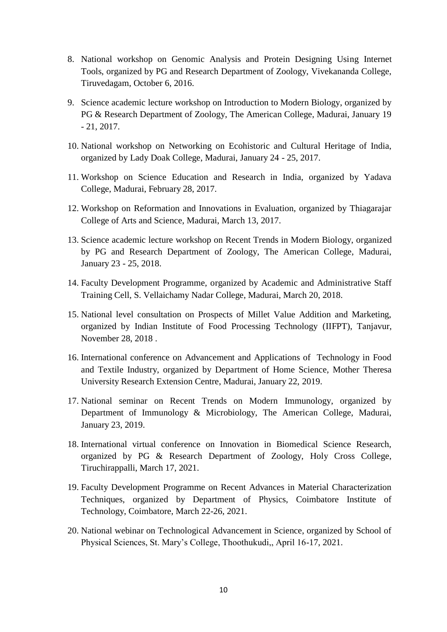- 8. National workshop on Genomic Analysis and Protein Designing Using Internet Tools, organized by PG and Research Department of Zoology, Vivekananda College, Tiruvedagam, October 6, 2016.
- 9. Science academic lecture workshop on Introduction to Modern Biology, organized by PG & Research Department of Zoology, The American College, Madurai, January 19 - 21, 2017.
- 10. National workshop on Networking on Ecohistoric and Cultural Heritage of India, organized by Lady Doak College, Madurai, January 24 - 25, 2017.
- 11. Workshop on Science Education and Research in India, organized by Yadava College, Madurai, February 28, 2017.
- 12. Workshop on Reformation and Innovations in Evaluation, organized by Thiagarajar College of Arts and Science, Madurai, March 13, 2017.
- 13. Science academic lecture workshop on Recent Trends in Modern Biology, organized by PG and Research Department of Zoology, The American College, Madurai, January 23 - 25, 2018.
- 14. Faculty Development Programme, organized by Academic and Administrative Staff Training Cell, S. Vellaichamy Nadar College, Madurai, March 20, 2018.
- 15. National level consultation on Prospects of Millet Value Addition and Marketing, organized by Indian Institute of Food Processing Technology (IIFPT), Tanjavur, November 28, 2018 .
- 16. International conference on Advancement and Applications of Technology in Food and Textile Industry, organized by Department of Home Science, Mother Theresa University Research Extension Centre, Madurai, January 22, 2019.
- 17. National seminar on Recent Trends on Modern Immunology, organized by Department of Immunology & Microbiology, The American College, Madurai, January 23, 2019.
- 18. International virtual conference on Innovation in Biomedical Science Research, organized by PG & Research Department of Zoology, Holy Cross College, Tiruchirappalli, March 17, 2021.
- 19. Faculty Development Programme on Recent Advances in Material Characterization Techniques, organized by Department of Physics, Coimbatore Institute of Technology, Coimbatore, March 22-26, 2021.
- 20. National webinar on Technological Advancement in Science, organized by School of Physical Sciences, St. Mary's College, Thoothukudi,, April 16-17, 2021.